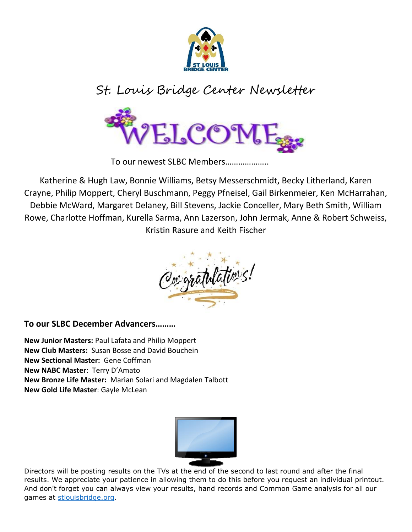

## St. Louis Bridge Center Newsletter



To our newest SLBC Members………………..

Katherine & Hugh Law, Bonnie Williams, Betsy Messerschmidt, Becky Litherland, Karen Crayne, Philip Moppert, Cheryl Buschmann, Peggy Pfneisel, Gail Birkenmeier, Ken McHarrahan, Debbie McWard, Margaret Delaney, Bill Stevens, Jackie Conceller, Mary Beth Smith, William Rowe, Charlotte Hoffman, Kurella Sarma, Ann Lazerson, John Jermak, Anne & Robert Schweiss, Kristin Rasure and Keith Fischer



## **To our SLBC December Advancers………**

**New Junior Masters:** Paul Lafata and Philip Moppert **New Club Masters:** Susan Bosse and David Bouchein **New Sectional Master:** Gene Coffman **New NABC Master**: Terry D'Amato **New Bronze Life Master:** Marian Solari and Magdalen Talbott **New Gold Life Master**: Gayle McLean



Directors will be posting results on the TVs at the end of the second to last round and after the final results. We appreciate your patience in allowing them to do this before you request an individual printout. And don't forget you can always view your results, hand records and Common Game analysis for all our games at [stlouisbridge.org.](http://stlouisbridge.org/)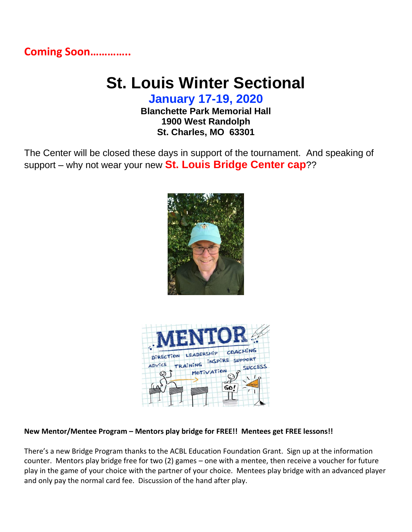**Coming Soon…………..**

## **St. Louis Winter Sectional**

**January 17-19, 2020**

**Blanchette Park Memorial Hall 1900 West Randolph St. Charles, MO 63301**

The Center will be closed these days in support of the tournament. And speaking of support – why not wear your new **St. Louis Bridge Center cap**??





## **New Mentor/Mentee Program – Mentors play bridge for FREE!! Mentees get FREE lessons!!**

There's a new Bridge Program thanks to the ACBL Education Foundation Grant. Sign up at the information counter. Mentors play bridge free for two (2) games – one with a mentee, then receive a voucher for future play in the game of your choice with the partner of your choice. Mentees play bridge with an advanced player and only pay the normal card fee. Discussion of the hand after play.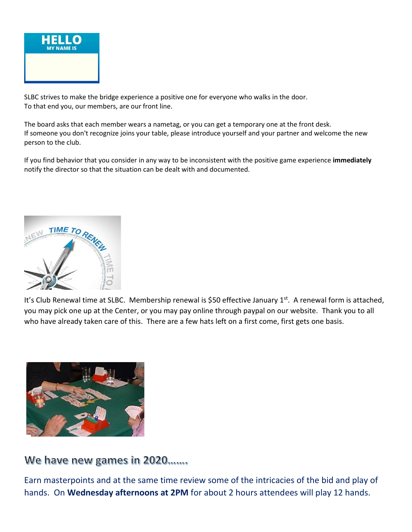

SLBC strives to make the bridge experience a positive one for everyone who walks in the door. To that end you, our members, are our front line.

The board asks that each member wears a nametag, or you can get a temporary one at the front desk. If someone you don't recognize joins your table, please introduce yourself and your partner and welcome the new person to the club.

If you find behavior that you consider in any way to be inconsistent with the positive game experience **immediately** notify the director so that the situation can be dealt with and documented.



It's Club Renewal time at SLBC. Membership renewal is \$50 effective January 1<sup>st</sup>. A renewal form is attached, you may pick one up at the Center, or you may pay online through paypal on our website. Thank you to all who have already taken care of this. There are a few hats left on a first come, first gets one basis.



We have new games in 2020.......

Earn masterpoints and at the same time review some of the intricacies of the bid and play of hands. On **Wednesday afternoons at 2PM** for about 2 hours attendees will play 12 hands.